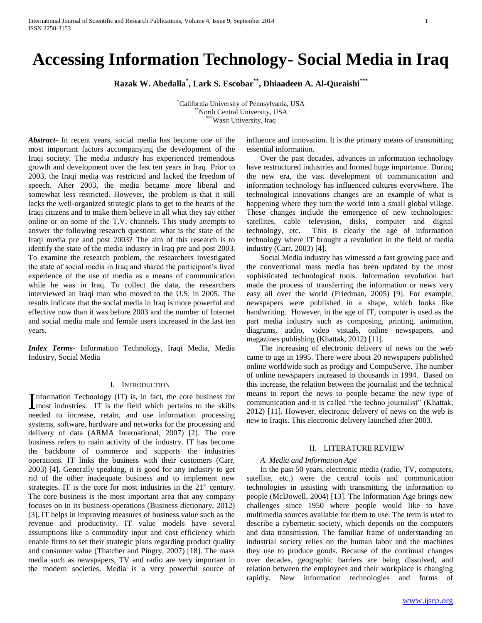# **Accessing Information Technology- Social Media in Iraq**

**Razak W. Abedalla\* , Lark S. Escobar\*\*, Dhiaadeen A. Al-Quraishi\*\*\***

\*California University of Pennsylvania, USA \*North Central University, USA \*Wasit University, Iraq

*Abstract***-** In recent years, social media has become one of the most important factors accompanying the development of the Iraqi society. The media industry has experienced tremendous growth and development over the last ten years in Iraq. Prior to 2003, the Iraqi media was restricted and lacked the freedom of speech. After 2003, the media became more liberal and somewhat less restricted. However, the problem is that it still lacks the well-organized strategic plans to get to the hearts of the Iraqi citizens and to make them believe in all what they say either online or on some of the T.V. channels. This study attempts to answer the following research question: what is the state of the Iraqi media pre and post 2003? The aim of this research is to identify the state of the media industry in Iraq pre and post 2003. To examine the research problem*,* the researchers investigated the state of social media in Iraq and shared the participant's lived experience of the use of media as a means of communication while he was in Iraq. To collect the data, the researchers interviewed an Iraqi man who moved to the U.S. in 2005. The results indicate that the social media in Iraq is more powerful and effective now than it was before 2003 and the number of Internet and social media male and female users increased in the last ten years.

*Index Terms*- Information Technology, Iraqi Media, Media Industry, Social Media

## I. INTRODUCTION

nformation Technology (IT) is, in fact, the core business for Information Technology (IT) is, in fact, the core business for most industries. IT is the field which pertains to the skills needed to increase, retain, and use information processing systems, software, hardware and networks for the processing and delivery of data (ARMA International, 2007) [2]. The core business refers to main activity of the industry. IT has become the backbone of commerce and supports the industries operations. IT links the business with their customers (Carr, 2003) [4]. Generally speaking, it is good for any industry to get rid of the other inadequate business and to implement new strategies. IT is the core for most industries in the  $21<sup>st</sup>$  century. The core business is the most important area that any company focuses on in its business operations (Business dictionary, 2012) [3]. IT helps in improving measures of business value such as the revenue and productivity. IT value models have several assumptions like a commodity input and cost efficiency which enable firms to set their strategic plans regarding product quality and consumer value (Thatcher and Pingry, 2007) [18]. The mass media such as newspapers, TV and radio are very important in the modern societies. Media is a very powerful source of

influence and innovation. It is the primary means of transmitting essential information.

 Over the past decades, advances in information technology have restructured industries and formed huge importance. During the new era, the vast development of communication and information technology has influenced cultures everywhere. The technological innovations changes are an example of what is happening where they turn the world into a small global village. These changes include the emergence of new technologies: satellites, cable television, disks, computer and digital technology, etc. This is clearly the age of information technology where IT brought a revolution in the field of media industry (Carr, 2003) [4].

 Social Media industry has witnessed a fast growing pace and the conventional mass media has been updated by the most sophisticated technological tools. Information revolution had made the process of transferring the information or news very easy all over the world (Friedman, 2005) [9]. For example, newspapers were published in a shape, which looks like handwriting. However, in the age of IT, computer is used as the part media industry such as composing, printing, animation, diagrams, audio, video visuals, online newspapers, and magazines publishing (Khattak, 2012) [11].

 The increasing of electronic delivery of news on the web came to age in 1995. There were about 20 newspapers published online worldwide such as prodigy and CompuServe. The number of online newspapers increased to thousands in 1994. Based on this increase, the relation between the journalist and the technical means to report the news to people became the new type of communication and it is called "the techno journalist" (Khattak, 2012) [11]. However, electronic delivery of news on the web is new to Iraqis. This electronic delivery launched after 2003.

## II. LITERATURE REVIEW

## *A. Media and Information Age*

 In the past 50 years, electronic media (radio, TV, computers, satellite, etc.) were the central tools and communication technologies in assisting with transmitting the information to people (McDowell, 2004) [13]. The Information Age brings new challenges since 1950 where people would like to have multimedia sources available for them to use. The term is used to describe a cybernetic society, which depends on the computers and data transmission. The familiar frame of understanding an industrial society relies on the human labor and the machines they use to produce goods. Because of the continual changes over decades, geographic barriers are being dissolved, and relation between the employees and their workplace is changing rapidly. New information technologies and forms of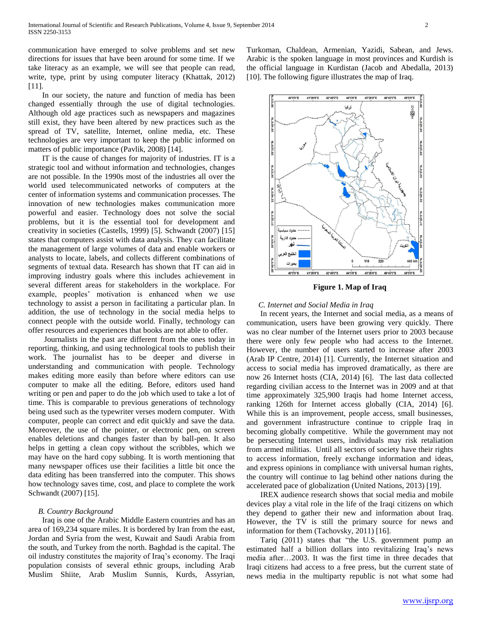communication have emerged to solve problems and set new directions for issues that have been around for some time. If we take literacy as an example, we will see that people can read, write, type, print by using computer literacy (Khattak, 2012) [11].

 In our society, the nature and function of media has been changed essentially through the use of digital technologies. Although old age practices such as newspapers and magazines still exist, they have been altered by new practices such as the spread of TV, satellite, Internet, online media, etc. These technologies are very important to keep the public informed on matters of public importance (Pavlik, 2008) [14].

 IT is the cause of changes for majority of industries. IT is a strategic tool and without information and technologies, changes are not possible. In the 1990s most of the industries all over the world used telecommunicated networks of computers at the center of information systems and communication processes. The innovation of new technologies makes communication more powerful and easier. Technology does not solve the social problems, but it is the essential tool for development and creativity in societies (Castells, 1999) [5]. Schwandt (2007) [15] states that computers assist with data analysis. They can facilitate the management of large volumes of data and enable workers or analysts to locate, labels, and collects different combinations of segments of textual data. Research has shown that IT can aid in improving industry goals where this includes achievement in several different areas for stakeholders in the workplace. For example, peoples' motivation is enhanced when we use technology to assist a person in facilitating a particular plan. In addition, the use of technology in the social media helps to connect people with the outside world. Finally, technology can offer resources and experiences that books are not able to offer.

 Journalists in the past are different from the ones today in reporting, thinking, and using technological tools to publish their work. The journalist has to be deeper and diverse in understanding and communication with people. Technology makes editing more easily than before where editors can use computer to make all the editing. Before, editors used hand writing or pen and paper to do the job which used to take a lot of time. This is comparable to previous generations of technology being used such as the typewriter verses modern computer. With computer, people can correct and edit quickly and save the data. Moreover, the use of the pointer, or electronic pen, on screen enables deletions and changes faster than by ball-pen. It also helps in getting a clean copy without the scribbles, which we may have on the hard copy subbing. It is worth mentioning that many newspaper offices use their facilities a little bit once the data editing has been transferred into the computer. This shows how technology saves time, cost, and place to complete the work Schwandt (2007) [15].

## *B. Country Background*

 Iraq is one of the Arabic Middle Eastern countries and has an area of 169,234 square miles. It is bordered by Iran from the east, Jordan and Syria from the west, Kuwait and Saudi Arabia from the south, and Turkey from the north. Baghdad is the capital. The oil industry constitutes the majority of Iraq's economy. The Iraqi population consists of several ethnic groups, including Arab Muslim Shiite, Arab Muslim Sunnis, Kurds, Assyrian,

Turkoman, Chaldean, Armenian, Yazidi, Sabean, and Jews. Arabic is the spoken language in most provinces and Kurdish is the official language in Kurdistan (Jacob and Abedalla, 2013) [10]. The following figure illustrates the map of Iraq.



## **Figure 1. Map of Iraq**

## *C. Internet and Social Media in Iraq*

 In recent years, the Internet and social media, as a means of communication, users have been growing very quickly. There was no clear number of the Internet users prior to 2003 because there were only few people who had access to the Internet. However, the number of users started to increase after 2003 (Arab IP Centre, 2014) [1]. Currently, the Internet situation and access to social media has improved dramatically, as there are now 26 Internet hosts (CIA, 2014) [6]. The last data collected regarding civilian access to the Internet was in 2009 and at that time approximately 325,900 Iraqis had home Internet access, ranking 126th for Internet access globally (CIA, 2014) [6]. While this is an improvement, people access, small businesses, and government infrastructure continue to cripple Iraq in becoming globally competitive. While the government may not be persecuting Internet users, individuals may risk retaliation from armed militias. Until all sectors of society have their rights to access information, freely exchange information and ideas, and express opinions in compliance with universal human rights, the country will continue to lag behind other nations during the accelerated pace of globalization (United Nations, 2013) [19].

 IREX audience research shows that social media and mobile devices play a vital role in the life of the Iraqi citizens on which they depend to gather their new and information about Iraq. However, the TV is still the primary source for news and information for them (Tachovsky, 2011) [16].

 Tariq (2011) states that "the U.S. government pump an estimated half a billion dollars into revitalizing Iraq's news media after…2003. It was the first time in three decades that Iraqi citizens had access to a free press, but the current state of news media in the multiparty republic is not what some had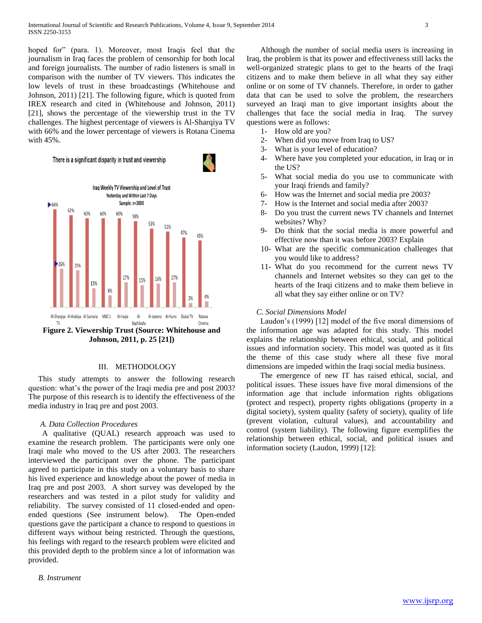hoped for" (para. 1). Moreover, most Iraqis feel that the journalism in Iraq faces the problem of censorship for both local and foreign journalists. The number of radio listeners is small in comparison with the number of TV viewers. This indicates the low levels of trust in these broadcastings (Whitehouse and Johnson, 2011) [21]. The following figure, which is quoted from IREX research and cited in (Whitehouse and Johnson, 2011) [21], shows the percentage of the viewership trust in the TV challenges. The highest percentage of viewers is Al-Sharqiya TV with 66% and the lower percentage of viewers is Rotana Cinema with 45%.





**Johnson, 2011, p. 25 [21])**

## III. METHODOLOGY

 This study attempts to answer the following research question: what's the power of the Iraqi media pre and post 2003? The purpose of this research is to identify the effectiveness of the media industry in Iraq pre and post 2003.

## *A. Data Collection Procedures*

 A qualitative (QUAL) research approach was used to examine the research problem. The participants were only one Iraqi male who moved to the US after 2003. The researchers interviewed the participant over the phone. The participant agreed to participate in this study on a voluntary basis to share his lived experience and knowledge about the power of media in Iraq pre and post 2003. A short survey was developed by the researchers and was tested in a pilot study for validity and reliability.The survey consisted of 11 closed-ended and openended questions (See instrument below). The Open-ended questions gave the participant a chance to respond to questions in different ways without being restricted. Through the questions, his feelings with regard to the research problem were elicited and this provided depth to the problem since a lot of information was provided.

 *B. Instrument*

 Although the number of social media users is increasing in Iraq, the problem is that its power and effectiveness still lacks the well-organized strategic plans to get to the hearts of the Iraqi citizens and to make them believe in all what they say either online or on some of TV channels. Therefore, in order to gather data that can be used to solve the problem, the researchers surveyed an Iraqi man to give important insights about the challenges that face the social media in Iraq. The survey questions were as follows:

- 1- How old are you?
- 2- When did you move from Iraq to US?
- 3- What is your level of education?
- 4- Where have you completed your education, in Iraq or in the US?
- 5- What social media do you use to communicate with your Iraqi friends and family?
- 6- How was the Internet and social media pre 2003?
- 7- How is the Internet and social media after 2003?
- 8- Do you trust the current news TV channels and Internet websites? Why?
- 9- Do think that the social media is more powerful and effective now than it was before 2003? Explain
- 10- What are the specific communication challenges that you would like to address?
- 11- What do you recommend for the current news TV channels and Internet websites so they can get to the hearts of the Iraqi citizens and to make them believe in all what they say either online or on TV?

## *C. Social Dimensions Model*

 Laudon's (1999) [12] model of the five moral dimensions of the information age was adapted for this study. This model explains the relationship between ethical, social, and political issues and information society. This model was quoted as it fits the theme of this case study where all these five moral dimensions are impeded within the Iraqi social media business.

 The emergence of new IT has raised ethical, social, and political issues. These issues have five moral dimensions of the information age that include information rights obligations (protect and respect), property rights obligations (property in a digital society), system quality (safety of society), quality of life (prevent violation, cultural values), and accountability and control (system liability). The following figure exemplifies the relationship between ethical, social, and political issues and information society (Laudon, 1999) [12]: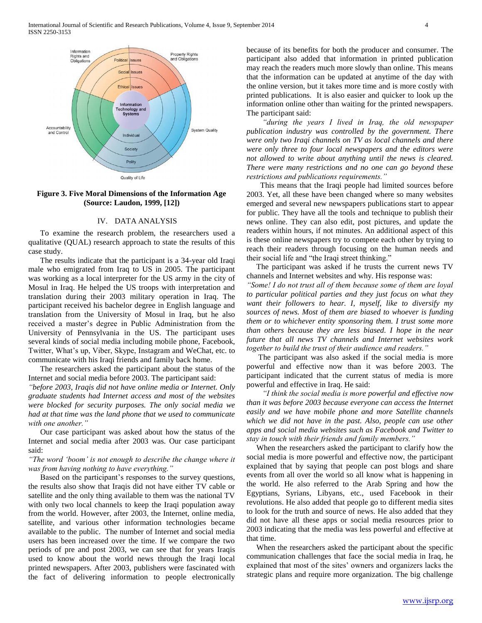

**Figure 3. Five Moral Dimensions of the Information Age (Source: Laudon, 1999, [12])**

## IV. DATA ANALYSIS

 To examine the research problem, the researchers used a qualitative (QUAL) research approach to state the results of this case study.

 The results indicate that the participant is a 34-year old Iraqi male who emigrated from Iraq to US in 2005. The participant was working as a local interpreter for the US army in the city of Mosul in Iraq. He helped the US troops with interpretation and translation during their 2003 military operation in Iraq. The participant received his bachelor degree in English language and translation from the University of Mosul in Iraq, but he also received a master's degree in Public Administration from the University of Pennsylvania in the US. The participant uses several kinds of social media including mobile phone, Facebook, Twitter, What's up, Viber, Skype, Instagram and WeChat, etc. to communicate with his Iraqi friends and family back home.

 The researchers asked the participant about the status of the Internet and social media before 2003. The participant said:

*"before 2003, Iraqis did not have online media or Internet. Only graduate students had Internet access and most of the websites were blocked for security purposes. The only social media we had at that time was the land phone that we used to communicate with one another."*

 Our case participant was asked about how the status of the Internet and social media after 2003 was. Our case participant said:

*"The word 'boom' is not enough to describe the change where it was from having nothing to have everything."*

 Based on the participant's responses to the survey questions, the results also show that Iraqis did not have either TV cable or satellite and the only thing available to them was the national TV with only two local channels to keep the Iraqi population away from the world. However, after 2003, the Internet, online media, satellite, and various other information technologies became available to the public. The number of Internet and social media users has been increased over the time. If we compare the two periods of pre and post 2003, we can see that for years Iraqis used to know about the world news through the Iraqi local printed newspapers. After 2003, publishers were fascinated with the fact of delivering information to people electronically

because of its benefits for both the producer and consumer. The participant also added that information in printed publication may reach the readers much more slowly than online. This means that the information can be updated at anytime of the day with the online version, but it takes more time and is more costly with printed publications. It is also easier and quicker to look up the information online other than waiting for the printed newspapers. The participant said:

 *"during the years I lived in Iraq, the old newspaper publication industry was controlled by the government. There were only two Iraqi channels on TV as local channels and there were only three to four local newspapers and the editors were not allowed to write about anything until the news is cleared. There were many restrictions and no one can go beyond these restrictions and publications requirements."* 

 This means that the Iraqi people had limited sources before 2003. Yet, all these have been changed where so many websites emerged and several new newspapers publications start to appear for public. They have all the tools and technique to publish their news online. They can also edit, post pictures, and update the readers within hours, if not minutes. An additional aspect of this is these online newspapers try to compete each other by trying to reach their readers through focusing on the human needs and their social life and "the Iraqi street thinking."

 The participant was asked if he trusts the current news TV channels and Internet websites and why. His response was:

*"Some! I do not trust all of them because some of them are loyal to particular political parties and they just focus on what they want their followers to hear. I, myself, like to diversify my sources of news. Most of them are biased to whoever is funding them or to whichever entity sponsoring them. I trust some more than others because they are less biased. I hope in the near future that all news TV channels and Internet websites work together to build the trust of their audience and readers."* 

 The participant was also asked if the social media is more powerful and effective now than it was before 2003. The participant indicated that the current status of media is more powerful and effective in Iraq. He said:

 *"I think the social media is more powerful and effective now than it was before 2003 because everyone can access the Internet easily and we have mobile phone and more Satellite channels which we did not have in the past. Also, people can use other apps and social media websites such as Facebook and Twitter to stay in touch with their friends and family members."*

 When the researchers asked the participant to clarify how the social media is more powerful and effective now, the participant explained that by saying that people can post blogs and share events from all over the world so all know what is happening in the world. He also referred to the Arab Spring and how the Egyptians, Syrians, Libyans, etc., used Facebook in their revolutions. He also added that people go to different media sites to look for the truth and source of news. He also added that they did not have all these apps or social media resources prior to 2003 indicating that the media was less powerful and effective at that time.

 When the researchers asked the participant about the specific communication challenges that face the social media in Iraq, he explained that most of the sites' owners and organizers lacks the strategic plans and require more organization. The big challenge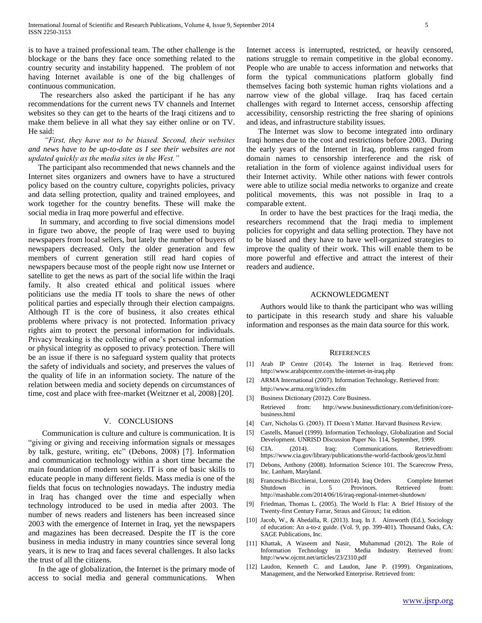is to have a trained professional team. The other challenge is the blockage or the bans they face once something related to the country security and instability happened. The problem of not having Internet available is one of the big challenges of continuous communication.

 The researchers also asked the participant if he has any recommendations for the current news TV channels and Internet websites so they can get to the hearts of the Iraqi citizens and to make them believe in all what they say either online or on TV. He said:

## *"First, they have not to be biased. Second, their websites and news have to be up-to-date as I see their websites are not updated quickly as the media sites in the West."*

 The participant also recommended that news channels and the Internet sites organizers and owners have to have a structured policy based on the country culture, copyrights policies, privacy and data selling protection, quality and trained employees, and work together for the country benefits. These will make the social media in Iraq more powerful and effective.

 In summary, and according to five social dimensions model in figure two above, the people of Iraq were used to buying newspapers from local sellers, but lately the number of buyers of newspapers decreased. Only the older generation and few members of current generation still read hard copies of newspapers because most of the people right now use Internet or satellite to get the news as part of the social life within the Iraqi family. It also created ethical and political issues where politicians use the media IT tools to share the news of other political parties and especially through their election campaigns. Although IT is the core of business, it also creates ethical problems where privacy is not protected. Information privacy rights aim to protect the personal information for individuals. Privacy breaking is the collecting of one's personal information or physical integrity as opposed to privacy protection. There will be an issue if there is no safeguard system quality that protects the safety of individuals and society, and preserves the values of the quality of life in an information society. The nature of the relation between media and society depends on circumstances of time, cost and place with free-market (Weitzner et al, 2008) [20].

#### V. CONCLUSIONS

 Communication is culture and culture is communication. It is "giving or giving and receiving information signals or messages by talk, gesture, writing, etc" (Debons, 2008) [7]. Information and communication technology within a short time became the main foundation of modern society. IT is one of basic skills to educate people in many different fields. Mass media is one of the fields that focus on technologies nowadays. The industry media in Iraq has changed over the time and especially when technology introduced to be used in media after 2003. The number of news readers and listeners has been increased since 2003 with the emergence of Internet in Iraq, yet the newspapers and magazines has been decreased. Despite the IT is the core business in media industry in many countries since several long years, it is new to Iraq and faces several challenges. It also lacks the trust of all the citizens.

 In the age of globalization, the Internet is the primary mode of access to social media and general communications. When

Internet access is interrupted, restricted, or heavily censored, nations struggle to remain competitive in the global economy. People who are unable to access information and networks that form the typical communications platform globally find themselves facing both systemic human rights violations and a narrow view of the global village. Iraq has faced certain challenges with regard to Internet access, censorship affecting accessibility, censorship restricting the free sharing of opinions and ideas, and infrastructure stability issues.

 The Internet was slow to become integrated into ordinary Iraqi homes due to the cost and restrictions before 2003. During the early years of the Internet in Iraq, problems ranged from domain names to censorship interference and the risk of retaliation in the form of violence against individual users for their Internet activity. While other nations with fewer controls were able to utilize social media networks to organize and create political movements, this was not possible in Iraq to a comparable extent.

 In order to have the best practices for the Iraqi media, the researchers recommend that the Iraqi media to implement policies for copyright and data selling protection. They have not to be biased and they have to have well-organized strategies to improve the quality of their work. This will enable them to be more powerful and effective and attract the interest of their readers and audience.

#### ACKNOWLEDGMENT

 Authors would like to thank the participant who was willing to participate in this research study and share his valuable information and responses as the main data source for this work.

#### **REFERENCES**

- [1] Arab IP Centre (2014). The Internet in Iraq. Retrieved from: http://www.arabipcentre.com/the-internet-in-iraq.php
- [2] ARMA International (2007). Information Technology. Retrieved from: http://www.arma.org/it/index.cfm
- [3] Business Dictionary (2012). Core Business. Retrieved from: http://www.businessdictionary.com/definition/corebusiness.html
- [4] Carr, Nicholas G. (2003). IT Doesn't Matter. Harvard Business Review.
- [5] Castells, Manuel (1999). Information Technology, Globalization and Social Development. UNRISD Discussion Paper No. 114, September, 1999.
- [6] CIA. (2014). Iraq: Communications. Retrievedfrom: https://www.cia.gov/library/publications/the-world-factbook/geos/iz.html
- [7] Debons, Anthony (2008). Information Science 101. The Scarecrow Press, Inc. Lanham, Maryland.
- [8] Franceschi-Bicchierai, Lorenzo (2014). Iraq Orders Complete Internet Shutdown in 5 Provinces. Retrieved from: http://mashable.com/2014/06/16/iraq-regional-internet-shutdown/
- Friedman, Thomas L. (2005). The World Is Flat: A Brief History of the Twenty-first Century Farrar, Straus and Giroux; 1st edition.
- [10] Jacob, W., & Abedalla, R. (2013). Iraq. In J. Ainsworth (Ed.), Sociology of education: An a-to-z guide. (Vol. 9, pp. 399-401). Thousand Oaks, CA: SAGE Publications, Inc.
- [11] Khattak, A Waseem and Nasir, Muhammad (2012). The Role of Information Technology in Media Industry. Retrieved from: http://www.ojcmt.net/articles/23/2310.pdf
- [12] Laudon, Kenneth C. and Laudon, Jane P. (1999). Organizations, Management, and the Networked Enterprise. Retrieved from: